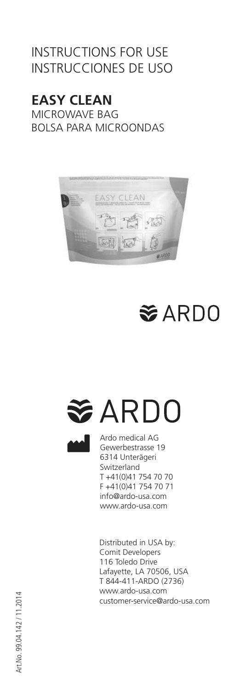### INSTRUCTIONS FOR USE INSTRUCCIONES DE USO

## **EASY CLEAN**

MICROWAVE BAG BOLSA PARA MICROONDAS



## **≋ARDO**

# <del>≋</del> ARDO



Ardo medical AG Gewerbestrasse 19 6314 Unterägeri Switzerland T +41(0)41 754 70 70 F +41(0)41 754 70 71 info@ardo-usa.com www.ardo-usa.com

Distributed in USA by: Comit Developers 116 Toledo Drive Lafayette, LA 70506, USA T 844-411-ARDO (2736) www.ardo-usa.com customer-service@ardo-usa.com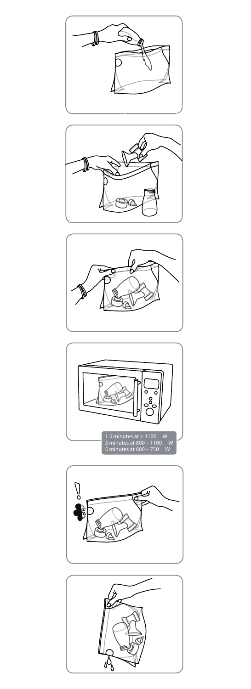









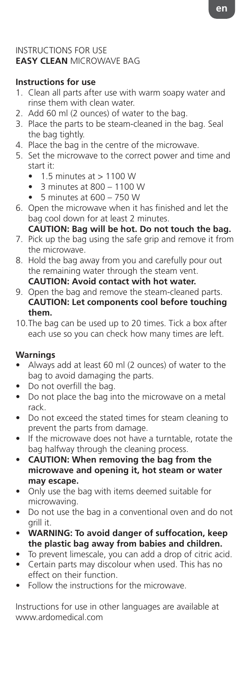#### INSTRUCTIONS FOR USE **EASY CLEAN** MICROWAVE BAG

#### **Instructions for use**

- 1. Clean all parts after use with warm soapy water and rinse them with clean water.
- 2. Add 60 ml (2 ounces) of water to the bag.
- 3. Place the parts to be steam-cleaned in the bag. Seal the bag tightly.
- 4. Place the bag in the centre of the microwave.
- 5. Set the microwave to the correct power and time and start it:
	- $\bullet$  1.5 minutes at  $> 1100$  W
	- 3 minutes at 800 1100 W
	- 5 minutes at 600 750 W
- 6. Open the microwave when it has finished and let the bag cool down for at least 2 minutes.
	- **CAUTION: Bag will be hot. Do not touch the bag.**
- 7. Pick up the bag using the safe grip and remove it from the microwave.
- 8. Hold the bag away from you and carefully pour out the remaining water through the steam vent. **CAUTION: Avoid contact with hot water.**
- 9. Open the bag and remove the steam-cleaned parts. **CAUTION: Let components cool before touching them.**
- 10. The bag can be used up to 20 times. Tick a box after each use so you can check how many times are left.

#### **Warnings**

- Always add at least 60 ml (2 ounces) of water to the bag to avoid damaging the parts.
- Do not overfill the bag.
- Do not place the bag into the microwave on a metal rack.
- Do not exceed the stated times for steam cleaning to prevent the parts from damage.
- If the microwave does not have a turntable, rotate the bag halfway through the cleaning process.
- **CAUTION: When removing the bag from the microwave and opening it, hot steam or water may escape.**
- Only use the bag with items deemed suitable for microwaving.
- Do not use the bag in a conventional oven and do not grill it.
- **WARNING: To avoid danger of suffocation, keep the plastic bag away from babies and children.**
- To prevent limescale, you can add a drop of citric acid.
- Certain parts may discolour when used. This has no effect on their function.
- Follow the instructions for the microwave.

Instructions for use in other languages are available at www.ardomedical.com